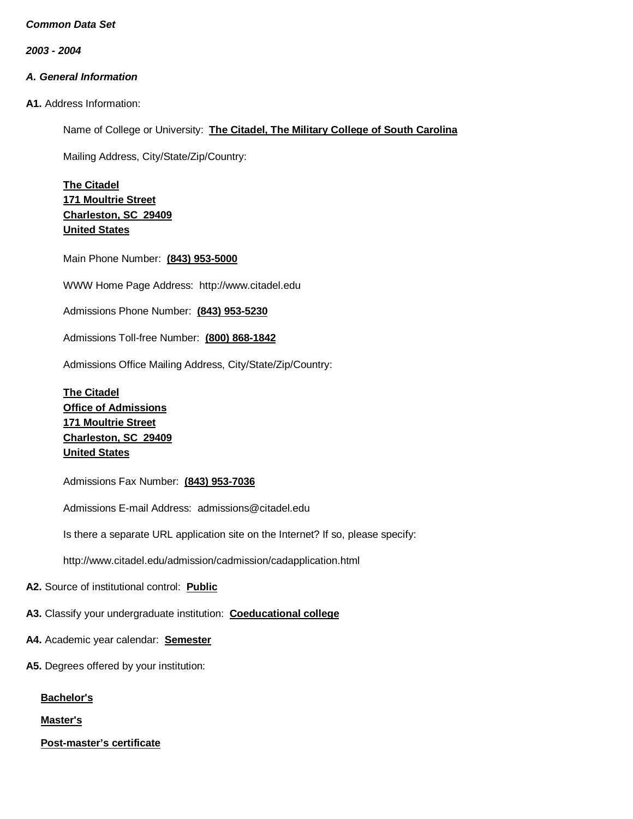*2003 - 2004*

# *A. General Information*

**A1.** Address Information:

Name of College or University: **The Citadel, The Military College of South Carolina**

Mailing Address, City/State/Zip/Country:

**The Citadel 171 Moultrie Street Charleston, SC 29409 United States**

Main Phone Number: **(843) 953-5000**

WWW Home Page Address: [http://www.citadel.edu](http://www.citadel.edu/)

Admissions Phone Number: **(843) 953-5230**

Admissions Toll-free Number: **(800) 868-1842**

Admissions Office Mailing Address, City/State/Zip/Country:

**The Citadel Office of Admissions 171 Moultrie Street Charleston, SC 29409 United States**

Admissions Fax Number: **(843) 953-7036**

Admissions E-mail Address: [admissions@citadel.edu](mailto:admissions@citadel.edu)

Is there a separate URL application site on the Internet? If so, please specify:

<http://www.citadel.edu/admission/cadmission/cadapplication.html>

**A2.** Source of institutional control: **Public**

**A3.** Classify your undergraduate institution: **Coeducational college**

- **A4.** Academic year calendar: **Semester**
- **A5.** Degrees offered by your institution:

**Bachelor's**

**Master's**

**Post-master's certificate**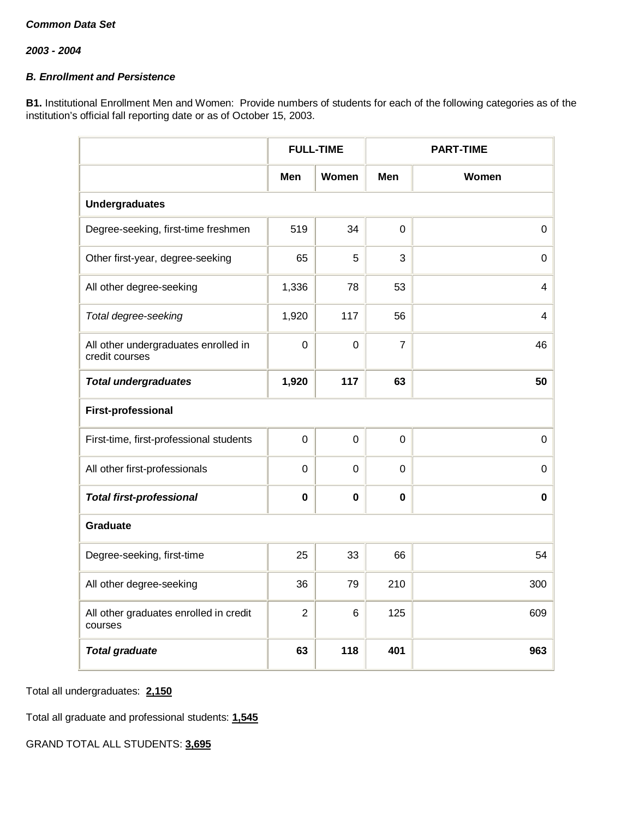# *B. Enrollment and Persistence*

**B1.** Institutional Enrollment Men and Women: Provide numbers of students for each of the following categories as of the institution's official fall reporting date or as of October 15, 2003.

|                                                        |                | <b>FULL-TIME</b> | <b>PART-TIME</b> |             |
|--------------------------------------------------------|----------------|------------------|------------------|-------------|
|                                                        | Men            | Women            | Men              | Women       |
| <b>Undergraduates</b>                                  |                |                  |                  |             |
| Degree-seeking, first-time freshmen                    | 519            | 34               | $\mathbf 0$      | $\mathbf 0$ |
| Other first-year, degree-seeking                       | 65             | 5                | 3                | 0           |
| All other degree-seeking                               | 1,336          | 78               | 53               | 4           |
| Total degree-seeking                                   | 1,920          | 117              | 56               | 4           |
| All other undergraduates enrolled in<br>credit courses | $\mathbf 0$    | $\mathbf 0$      | $\overline{7}$   | 46          |
| <b>Total undergraduates</b>                            | 1,920          | 117              | 63               | 50          |
| <b>First-professional</b>                              |                |                  |                  |             |
| First-time, first-professional students                | $\overline{0}$ | $\overline{0}$   | $\mathbf 0$      | $\mathbf 0$ |
| All other first-professionals                          | $\overline{0}$ | 0                | $\mathbf 0$      | 0           |
| <b>Total first-professional</b>                        | $\mathbf 0$    | $\mathbf 0$      | $\mathbf 0$      | 0           |
| Graduate                                               |                |                  |                  |             |
| Degree-seeking, first-time                             | 25             | 33               | 66               | 54          |
| All other degree-seeking                               | 36             | 79               | 210              | 300         |
| All other graduates enrolled in credit<br>courses      | 2              | 6                | 125              | 609         |
| <b>Total graduate</b>                                  | 63             | 118              | 401              | 963         |

Total all undergraduates: **2,150**

Total all graduate and professional students: **1,545**

GRAND TOTAL ALL STUDENTS: **3,695**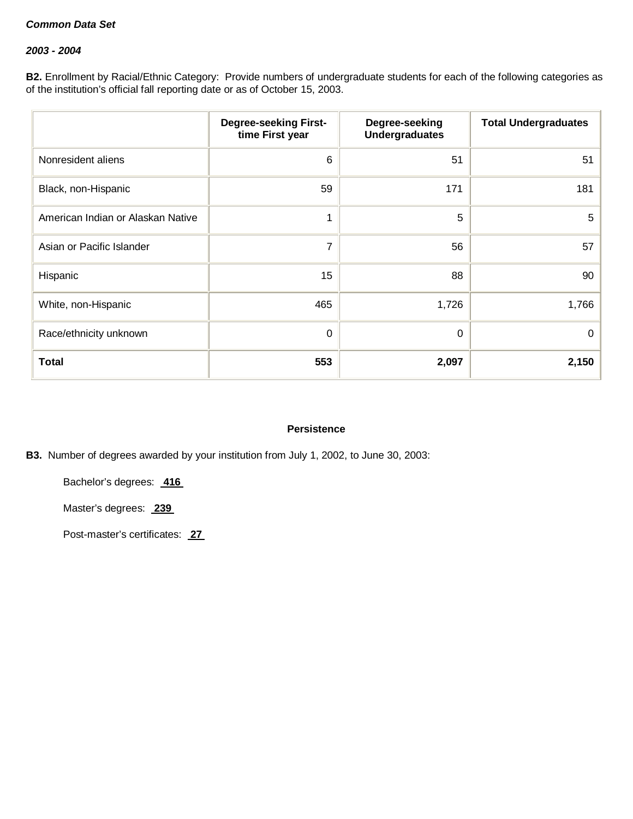### *2003 - 2004*

**B2.** Enrollment by Racial/Ethnic Category: Provide numbers of undergraduate students for each of the following categories as of the institution's official fall reporting date or as of October 15, 2003.

|                                   | <b>Degree-seeking First-</b><br>time First year | Degree-seeking<br><b>Undergraduates</b> | <b>Total Undergraduates</b> |
|-----------------------------------|-------------------------------------------------|-----------------------------------------|-----------------------------|
| Nonresident aliens                | 6                                               | 51                                      | 51                          |
| Black, non-Hispanic               | 59                                              | 171                                     | 181                         |
| American Indian or Alaskan Native |                                                 | 5                                       | 5                           |
| Asian or Pacific Islander         | $\overline{7}$                                  | 56                                      | 57                          |
| Hispanic                          | 15                                              | 88                                      | 90                          |
| White, non-Hispanic               | 465                                             | 1,726                                   | 1,766                       |
| Race/ethnicity unknown            | 0                                               | 0                                       | 0                           |
| <b>Total</b>                      | 553                                             | 2,097                                   | 2,150                       |

## **Persistence**

**B3.** Number of degrees awarded by your institution from July 1, 2002, to June 30, 2003:

Bachelor's degrees: **416**

Master's degrees: **239**

Post-master's certificates: **27**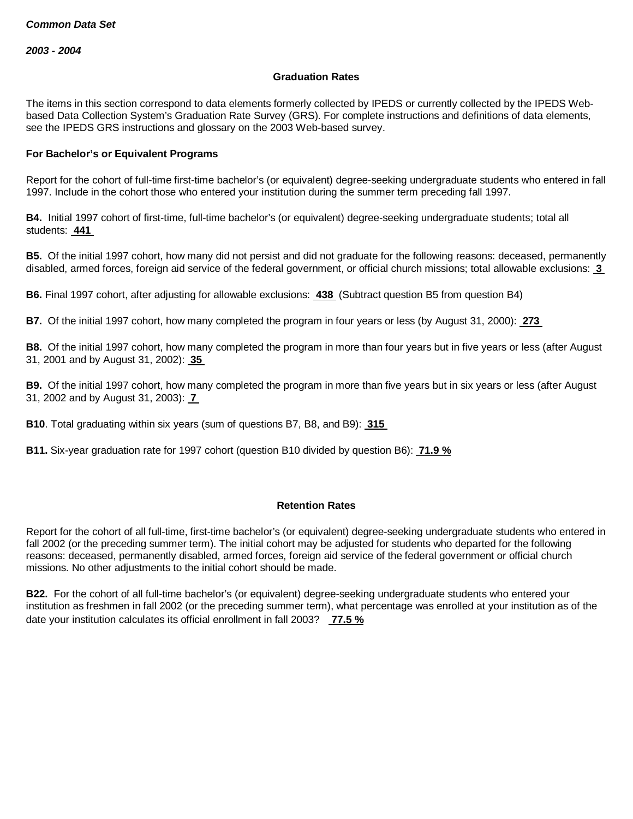#### **Graduation Rates**

The items in this section correspond to data elements formerly collected by IPEDS or currently collected by the IPEDS Webbased Data Collection System's Graduation Rate Survey (GRS). For complete instructions and definitions of data elements, see the IPEDS GRS instructions and glossary on the 2003 Web-based survey.

### **For Bachelor's or Equivalent Programs**

Report for the cohort of full-time first-time bachelor's (or equivalent) degree-seeking undergraduate students who entered in fall 1997. Include in the cohort those who entered your institution during the summer term preceding fall 1997.

**B4.** Initial 1997 cohort of first-time, full-time bachelor's (or equivalent) degree-seeking undergraduate students; total all students: **441**

**B5.** Of the initial 1997 cohort, how many did not persist and did not graduate for the following reasons: deceased, permanently disabled, armed forces, foreign aid service of the federal government, or official church missions; total allowable exclusions: **3**

**B6.** Final 1997 cohort, after adjusting for allowable exclusions: **438** (Subtract question B5 from question B4)

**B7.** Of the initial 1997 cohort, how many completed the program in four years or less (by August 31, 2000): **273**

**B8.** Of the initial 1997 cohort, how many completed the program in more than four years but in five years or less (after August 31, 2001 and by August 31, 2002): **35**

**B9.** Of the initial 1997 cohort, how many completed the program in more than five years but in six years or less (after August 31, 2002 and by August 31, 2003): **7**

**B10**. Total graduating within six years (sum of questions B7, B8, and B9): **315**

**B11.** Six-year graduation rate for 1997 cohort (question B10 divided by question B6): **71.9 %**

#### **Retention Rates**

Report for the cohort of all full-time, first-time bachelor's (or equivalent) degree-seeking undergraduate students who entered in fall 2002 (or the preceding summer term). The initial cohort may be adjusted for students who departed for the following reasons: deceased, permanently disabled, armed forces, foreign aid service of the federal government or official church missions. No other adjustments to the initial cohort should be made.

**B22.** For the cohort of all full-time bachelor's (or equivalent) degree-seeking undergraduate students who entered your institution as freshmen in fall 2002 (or the preceding summer term), what percentage was enrolled at your institution as of the date your institution calculates its official enrollment in fall 2003? **77.5 %**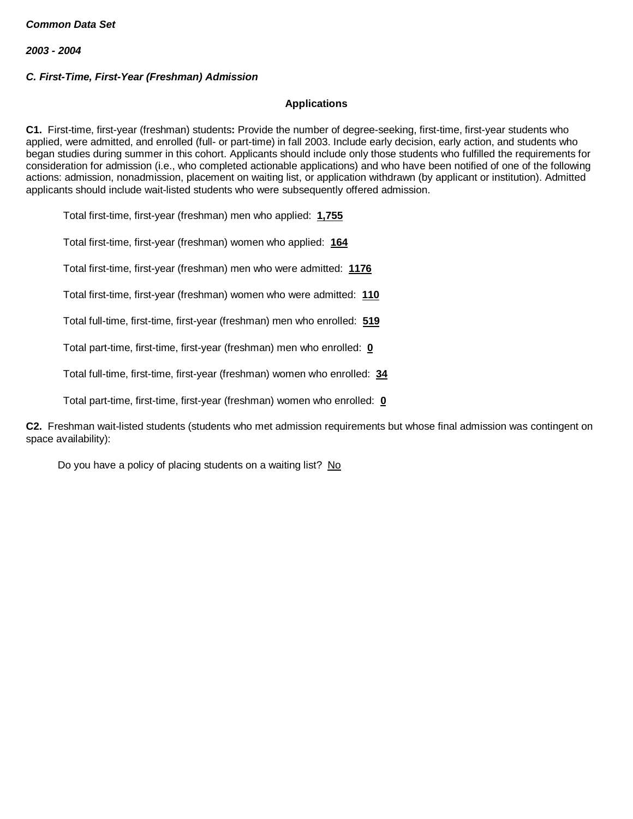# *C. First-Time, First-Year (Freshman) Admission*

### **Applications**

**C1.** First-time, first-year (freshman) students**:** Provide the number of degree-seeking, first-time, first-year students who applied, were admitted, and enrolled (full- or part-time) in fall 2003. Include early decision, early action, and students who began studies during summer in this cohort. Applicants should include only those students who fulfilled the requirements for consideration for admission (i.e., who completed actionable applications) and who have been notified of one of the following actions: admission, nonadmission, placement on waiting list, or application withdrawn (by applicant or institution). Admitted applicants should include wait-listed students who were subsequently offered admission.

Total first-time, first-year (freshman) men who applied: **1,755**

Total first-time, first-year (freshman) women who applied: **164**

Total first-time, first-year (freshman) men who were admitted: **1176**

Total first-time, first-year (freshman) women who were admitted: **110**

Total full-time, first-time, first-year (freshman) men who enrolled: **519**

Total part-time, first-time, first-year (freshman) men who enrolled: **0**

Total full-time, first-time, first-year (freshman) women who enrolled: **34**

Total part-time, first-time, first-year (freshman) women who enrolled: **0**

**C2.** Freshman wait-listed students (students who met admission requirements but whose final admission was contingent on space availability):

Do you have a policy of placing students on a waiting list? No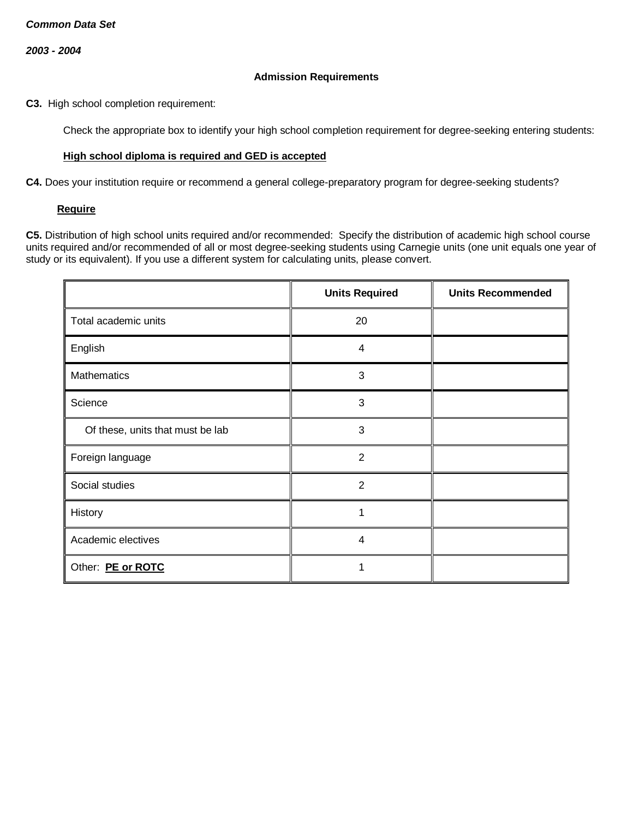### **Admission Requirements**

**C3.** High school completion requirement:

Check the appropriate box to identify your high school completion requirement for degree-seeking entering students:

### **High school diploma is required and GED is accepted**

**C4.** Does your institution require or recommend a general college-preparatory program for degree-seeking students?

#### **Require**

**C5.** Distribution of high school units required and/or recommended: Specify the distribution of academic high school course units required and/or recommended of all or most degree-seeking students using Carnegie units (one unit equals one year of study or its equivalent). If you use a different system for calculating units, please convert.

|                                  | <b>Units Required</b>   | <b>Units Recommended</b> |
|----------------------------------|-------------------------|--------------------------|
| Total academic units             | 20                      |                          |
| English                          | 4                       |                          |
| <b>Mathematics</b>               | 3                       |                          |
| Science                          | 3                       |                          |
| Of these, units that must be lab | 3                       |                          |
| Foreign language                 | $\overline{2}$          |                          |
| Social studies                   | 2                       |                          |
| History                          | 1                       |                          |
| Academic electives               | $\overline{\mathbf{4}}$ |                          |
| Other: PE or ROTC                |                         |                          |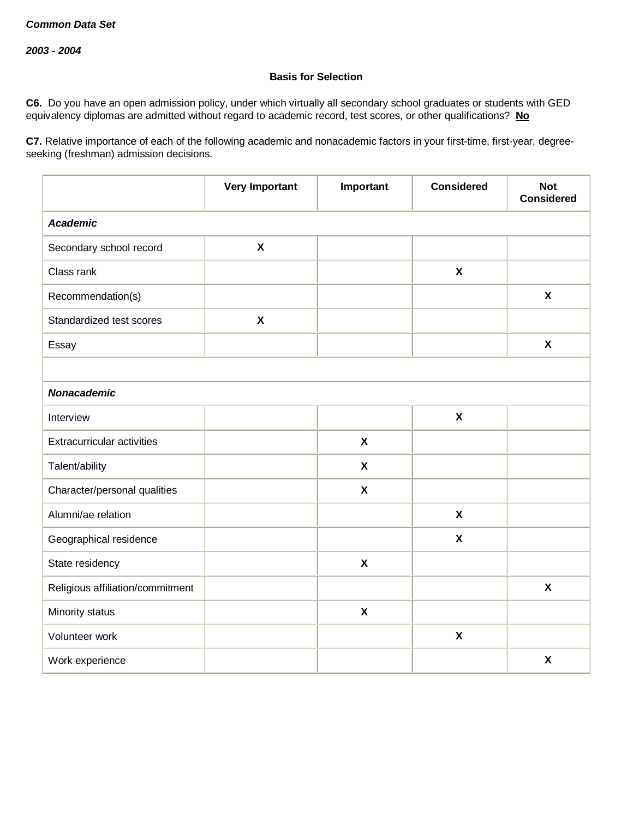# **Basis for Selection**

**C6.** Do you have an open admission policy, under which virtually all secondary school graduates or students with GED equivalency diplomas are admitted without regard to academic record, test scores, or other qualifications? **No**

**C7.** Relative importance of each of the following academic and nonacademic factors in your first-time, first-year, degreeseeking (freshman) admission decisions.

|                                  | <b>Very Important</b>     | Important                 | <b>Considered</b>         | <b>Not</b><br><b>Considered</b> |
|----------------------------------|---------------------------|---------------------------|---------------------------|---------------------------------|
| <b>Academic</b>                  |                           |                           |                           |                                 |
| Secondary school record          | $\boldsymbol{\mathsf{X}}$ |                           |                           |                                 |
| Class rank                       |                           |                           | $\boldsymbol{\mathsf{X}}$ |                                 |
| Recommendation(s)                |                           |                           |                           | $\boldsymbol{\mathsf{X}}$       |
| Standardized test scores         | $\pmb{\chi}$              |                           |                           |                                 |
| Essay                            |                           |                           |                           | $\boldsymbol{\mathsf{X}}$       |
|                                  |                           |                           |                           |                                 |
| <b>Nonacademic</b>               |                           |                           |                           |                                 |
| Interview                        |                           |                           | $\pmb{\chi}$              |                                 |
| Extracurricular activities       |                           | $\boldsymbol{\mathsf{X}}$ |                           |                                 |
| Talent/ability                   |                           | $\boldsymbol{\mathsf{X}}$ |                           |                                 |
| Character/personal qualities     |                           | $\boldsymbol{\mathsf{X}}$ |                           |                                 |
| Alumni/ae relation               |                           |                           | $\boldsymbol{\mathsf{X}}$ |                                 |
| Geographical residence           |                           |                           | $\boldsymbol{\mathsf{X}}$ |                                 |
| State residency                  |                           | $\boldsymbol{\mathsf{X}}$ |                           |                                 |
| Religious affiliation/commitment |                           |                           |                           | $\boldsymbol{\mathsf{X}}$       |
| Minority status                  |                           | $\boldsymbol{\mathsf{X}}$ |                           |                                 |
| Volunteer work                   |                           |                           | $\pmb{\chi}$              |                                 |
| Work experience                  |                           |                           |                           | $\boldsymbol{\mathsf{X}}$       |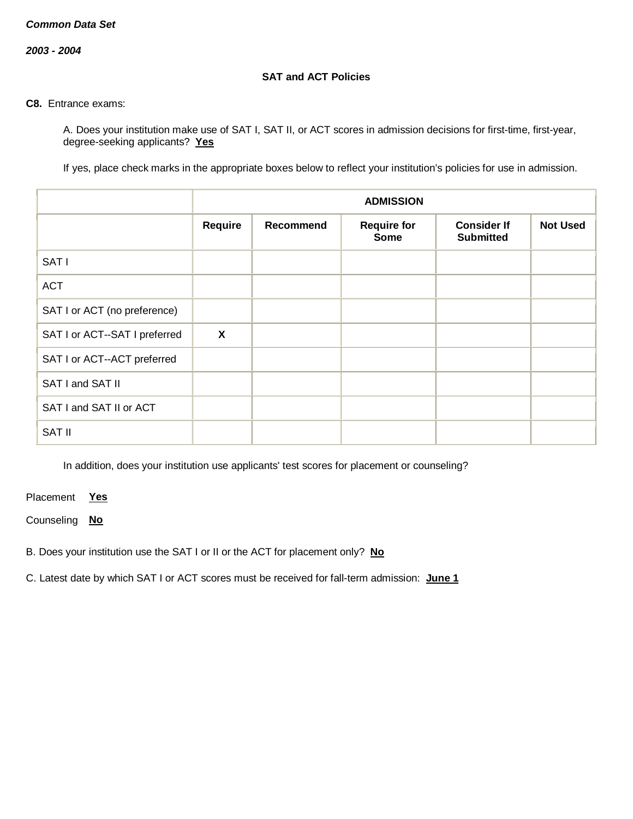*2003 - 2004*

### **SAT and ACT Policies**

### **C8.** Entrance exams:

A. Does your institution make use of SAT I, SAT II, or ACT scores in admission decisions for first-time, first-year, degree-seeking applicants? **Yes**

If yes, place check marks in the appropriate boxes below to reflect your institution's policies for use in admission.

|                               |                           |                  | <b>ADMISSION</b>                  |                                        |                 |
|-------------------------------|---------------------------|------------------|-----------------------------------|----------------------------------------|-----------------|
|                               | Require                   | <b>Recommend</b> | <b>Require for</b><br><b>Some</b> | <b>Consider If</b><br><b>Submitted</b> | <b>Not Used</b> |
| SAT I                         |                           |                  |                                   |                                        |                 |
| <b>ACT</b>                    |                           |                  |                                   |                                        |                 |
| SAT I or ACT (no preference)  |                           |                  |                                   |                                        |                 |
| SAT I or ACT--SAT I preferred | $\boldsymbol{\mathsf{X}}$ |                  |                                   |                                        |                 |
| SAT I or ACT--ACT preferred   |                           |                  |                                   |                                        |                 |
| SAT I and SAT II              |                           |                  |                                   |                                        |                 |
| SAT I and SAT II or ACT       |                           |                  |                                   |                                        |                 |
| <b>SAT II</b>                 |                           |                  |                                   |                                        |                 |

In addition, does your institution use applicants' test scores for placement or counseling?

Placement **Yes**

Counseling **No**

B. Does your institution use the SAT I or II or the ACT for placement only? **No**

C. Latest date by which SAT I or ACT scores must be received for fall-term admission: **June 1**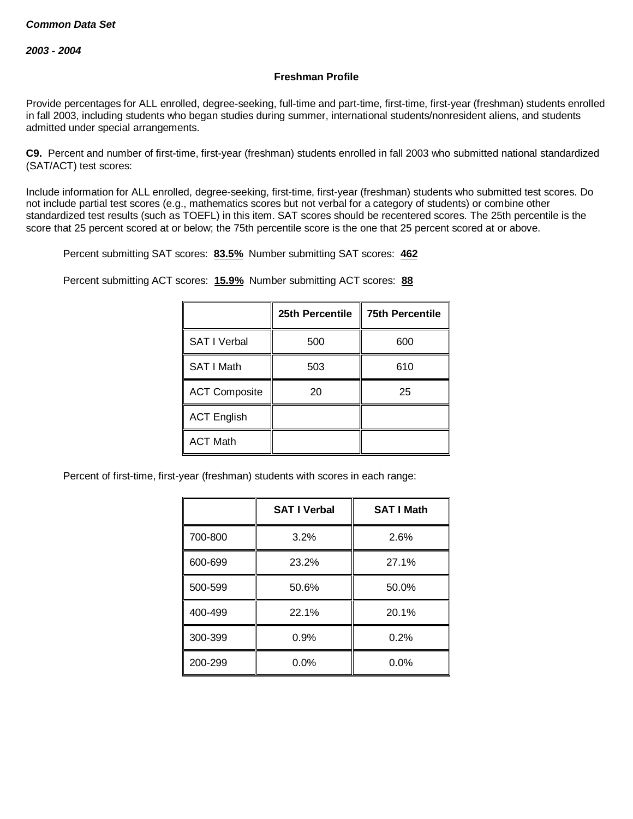## **Freshman Profile**

Provide percentages for ALL enrolled, degree-seeking, full-time and part-time, first-time, first-year (freshman) students enrolled in fall 2003, including students who began studies during summer, international students/nonresident aliens, and students admitted under special arrangements.

**C9.** Percent and number of first-time, first-year (freshman) students enrolled in fall 2003 who submitted national standardized (SAT/ACT) test scores:

Include information for ALL enrolled, degree-seeking, first-time, first-year (freshman) students who submitted test scores. Do not include partial test scores (e.g., mathematics scores but not verbal for a category of students) or combine other standardized test results (such as TOEFL) in this item. SAT scores should be recentered scores. The 25th percentile is the score that 25 percent scored at or below; the 75th percentile score is the one that 25 percent scored at or above.

Percent submitting SAT scores: **83.5%** Number submitting SAT scores: **462**

Percent submitting ACT scores: **15.9%** Number submitting ACT scores: **88**

|                      | 25th Percentile | <b>75th Percentile</b> |
|----------------------|-----------------|------------------------|
| <b>SAT I Verbal</b>  | 500             | 600                    |
| SAT I Math           | 503             | 610                    |
| <b>ACT Composite</b> | 20              | 25                     |
| <b>ACT English</b>   |                 |                        |
| <b>ACT Math</b>      |                 |                        |

Percent of first-time, first-year (freshman) students with scores in each range:

|         | <b>SAT I Verbal</b> | <b>SAT I Math</b> |
|---------|---------------------|-------------------|
| 700-800 | 3.2%                | 2.6%              |
| 600-699 | 23.2%               | 27.1%             |
| 500-599 | 50.6%               | 50.0%             |
| 400-499 | 22.1%               | 20.1%             |
| 300-399 | 0.9%                | 0.2%              |
| 200-299 | $0.0\%$             | 0.0%              |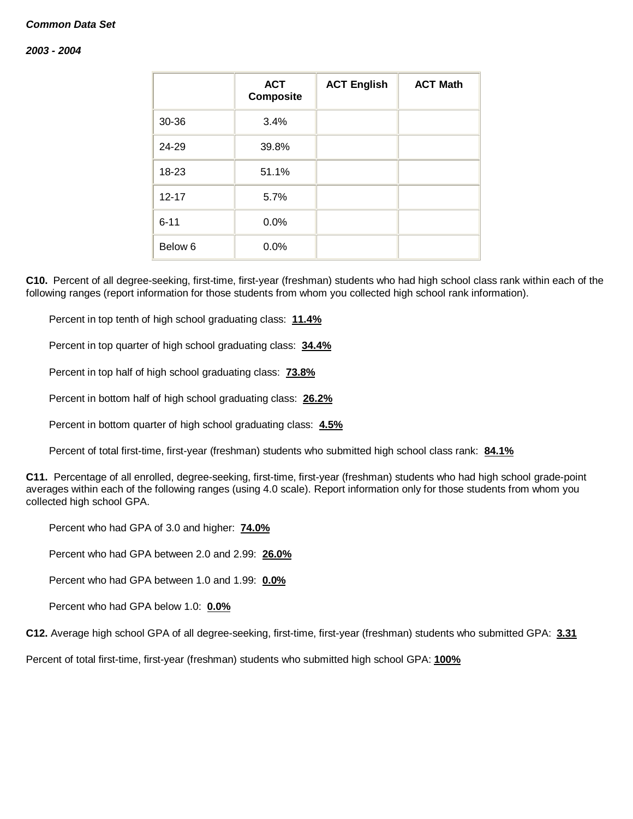#### *2003 - 2004*

|                    | <b>ACT</b><br><b>Composite</b> | <b>ACT English</b> | <b>ACT Math</b> |
|--------------------|--------------------------------|--------------------|-----------------|
| 30-36              | 3.4%                           |                    |                 |
| 24-29              | 39.8%                          |                    |                 |
| 18-23              | 51.1%                          |                    |                 |
| $12 - 17$          | 5.7%                           |                    |                 |
| $6 - 11$           | 0.0%                           |                    |                 |
| Below <sub>6</sub> | 0.0%                           |                    |                 |

**C10.** Percent of all degree-seeking, first-time, first-year (freshman) students who had high school class rank within each of the following ranges (report information for those students from whom you collected high school rank information).

Percent in top tenth of high school graduating class: **11.4%**

Percent in top quarter of high school graduating class: **34.4%**

Percent in top half of high school graduating class: **73.8%**

Percent in bottom half of high school graduating class: **26.2%**

Percent in bottom quarter of high school graduating class: **4.5%**

Percent of total first-time, first-year (freshman) students who submitted high school class rank: **84.1%**

**C11.** Percentage of all enrolled, degree-seeking, first-time, first-year (freshman) students who had high school grade-point averages within each of the following ranges (using 4.0 scale). Report information only for those students from whom you collected high school GPA.

Percent who had GPA of 3.0 and higher: **74.0%**

Percent who had GPA between 2.0 and 2.99: **26.0%**

Percent who had GPA between 1.0 and 1.99: **0.0%**

Percent who had GPA below 1.0: **0.0%**

**C12.** Average high school GPA of all degree-seeking, first-time, first-year (freshman) students who submitted GPA: **3.31**

Percent of total first-time, first-year (freshman) students who submitted high school GPA: **100%**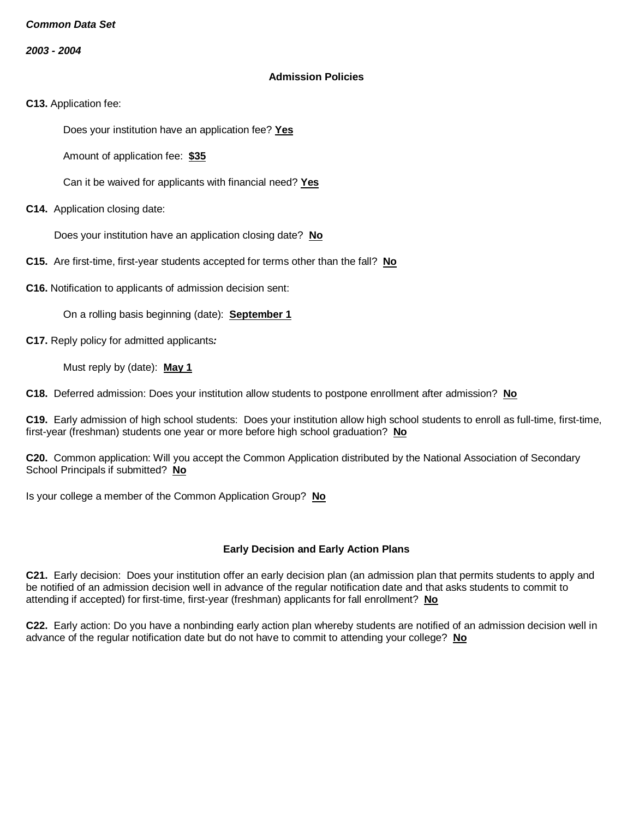*2003 - 2004*

### **Admission Policies**

**C13.** Application fee:

Does your institution have an application fee? **Yes**

Amount of application fee: **\$35**

Can it be waived for applicants with financial need? **Yes**

**C14.** Application closing date:

Does your institution have an application closing date? **No**

**C15.** Are first-time, first-year students accepted for terms other than the fall? **No**

**C16.** Notification to applicants of admission decision sent:

On a rolling basis beginning (date): **September 1**

**C17.** Reply policy for admitted applicants*:*

Must reply by (date): **May 1**

**C18.** Deferred admission: Does your institution allow students to postpone enrollment after admission? **No**

**C19.** Early admission of high school students: Does your institution allow high school students to enroll as full-time, first-time, first-year (freshman) students one year or more before high school graduation? **No**

**C20.** Common application: Will you accept the Common Application distributed by the National Association of Secondary School Principals if submitted? **No**

Is your college a member of the Common Application Group? **No**

## **Early Decision and Early Action Plans**

**C21.** Early decision: Does your institution offer an early decision plan (an admission plan that permits students to apply and be notified of an admission decision well in advance of the regular notification date and that asks students to commit to attending if accepted) for first-time, first-year (freshman) applicants for fall enrollment? **No**

**C22.** Early action: Do you have a nonbinding early action plan whereby students are notified of an admission decision well in advance of the regular notification date but do not have to commit to attending your college? **No**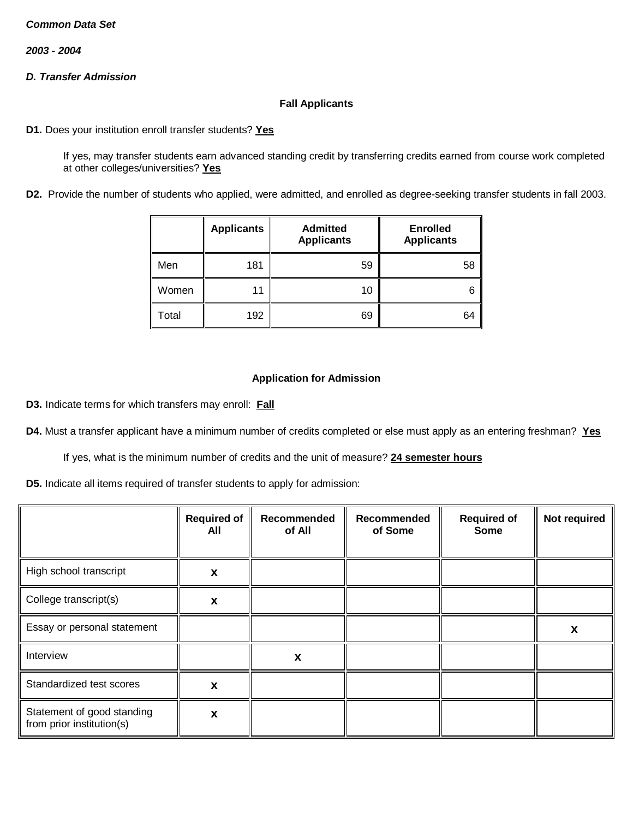*2003 - 2004*

# *D. Transfer Admission*

### **Fall Applicants**

**D1.** Does your institution enroll transfer students? **Yes**

If yes, may transfer students earn advanced standing credit by transferring credits earned from course work completed at other colleges/universities? **Yes**

**D2.** Provide the number of students who applied, were admitted, and enrolled as degree-seeking transfer students in fall 2003.

|       | <b>Applicants</b> | <b>Admitted</b><br><b>Applicants</b> | <b>Enrolled</b><br><b>Applicants</b> |
|-------|-------------------|--------------------------------------|--------------------------------------|
| Men   | 181               | 59                                   | 58                                   |
| Women | 11                | 10                                   | 6                                    |
| Total | 192               | 69                                   | 64                                   |

## **Application for Admission**

**D3.** Indicate terms for which transfers may enroll: **Fall**

**D4.** Must a transfer applicant have a minimum number of credits completed or else must apply as an entering freshman? **Yes**

If yes, what is the minimum number of credits and the unit of measure? **24 semester hours**

**D5.** Indicate all items required of transfer students to apply for admission:

|                                                         | <b>Required of</b><br>All | Recommended<br>of All | Recommended<br>of Some | <b>Required of</b><br><b>Some</b> | Not required |
|---------------------------------------------------------|---------------------------|-----------------------|------------------------|-----------------------------------|--------------|
| High school transcript                                  | X                         |                       |                        |                                   |              |
| College transcript(s)                                   | X                         |                       |                        |                                   |              |
| Essay or personal statement                             |                           |                       |                        |                                   | X            |
| Interview                                               |                           | X                     |                        |                                   |              |
| Standardized test scores                                | X                         |                       |                        |                                   |              |
| Statement of good standing<br>from prior institution(s) | X                         |                       |                        |                                   |              |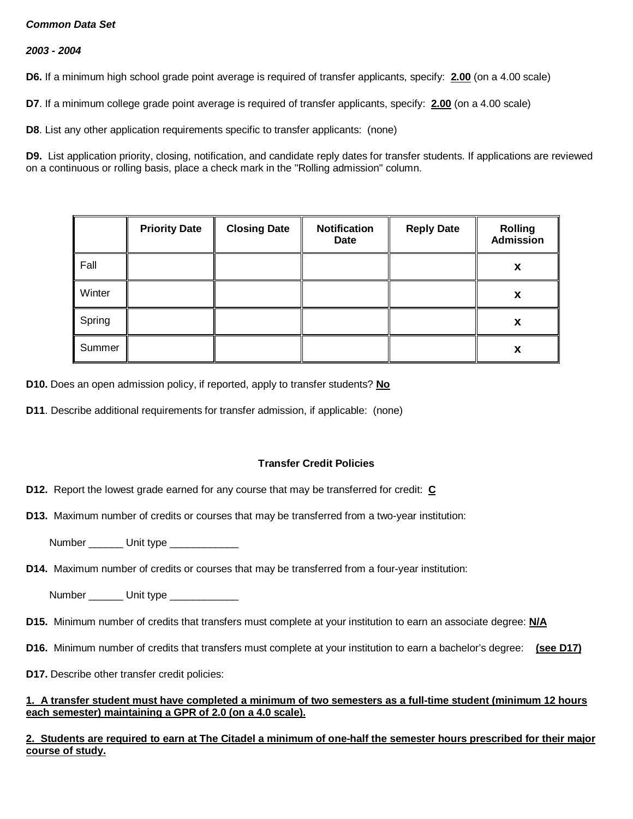## *2003 - 2004*

**D6.** If a minimum high school grade point average is required of transfer applicants, specify: **2.00** (on a 4.00 scale)

**D7**. If a minimum college grade point average is required of transfer applicants, specify: **2.00** (on a 4.00 scale)

**D8**. List any other application requirements specific to transfer applicants: (none)

**D9.** List application priority, closing, notification, and candidate reply dates for transfer students. If applications are reviewed on a continuous or rolling basis, place a check mark in the "Rolling admission" column.

|        | <b>Priority Date</b> | <b>Closing Date</b> | <b>Notification</b><br>Date | <b>Reply Date</b> | <b>Rolling</b><br><b>Admission</b> |
|--------|----------------------|---------------------|-----------------------------|-------------------|------------------------------------|
| Fall   |                      |                     |                             |                   | X                                  |
| Winter |                      |                     |                             |                   | X                                  |
| Spring |                      |                     |                             |                   | X                                  |
| Summer |                      |                     |                             |                   | X                                  |

**D10.** Does an open admission policy, if reported, apply to transfer students? **No**

**D11**. Describe additional requirements for transfer admission, if applicable: (none)

## **Transfer Credit Policies**

**D12.** Report the lowest grade earned for any course that may be transferred for credit: **C**

**D13.** Maximum number of credits or courses that may be transferred from a two-year institution:

Number \_\_\_\_\_\_ Unit type \_\_\_\_\_\_\_\_\_\_

**D14.** Maximum number of credits or courses that may be transferred from a four-year institution:

Number \_\_\_\_\_\_\_\_ Unit type \_\_\_\_\_\_\_\_\_\_\_\_\_\_

- **D15.** Minimum number of credits that transfers must complete at your institution to earn an associate degree: **N/A**
- **D16.** Minimum number of credits that transfers must complete at your institution to earn a bachelor's degree: **(see D17)**
- **D17.** Describe other transfer credit policies:

### **1. A transfer student must have completed a minimum of two semesters as a full-time student (minimum 12 hours each semester) maintaining a GPR of 2.0 (on a 4.0 scale).**

**2. Students are required to earn at The Citadel a minimum of one-half the semester hours prescribed for their major course of study.**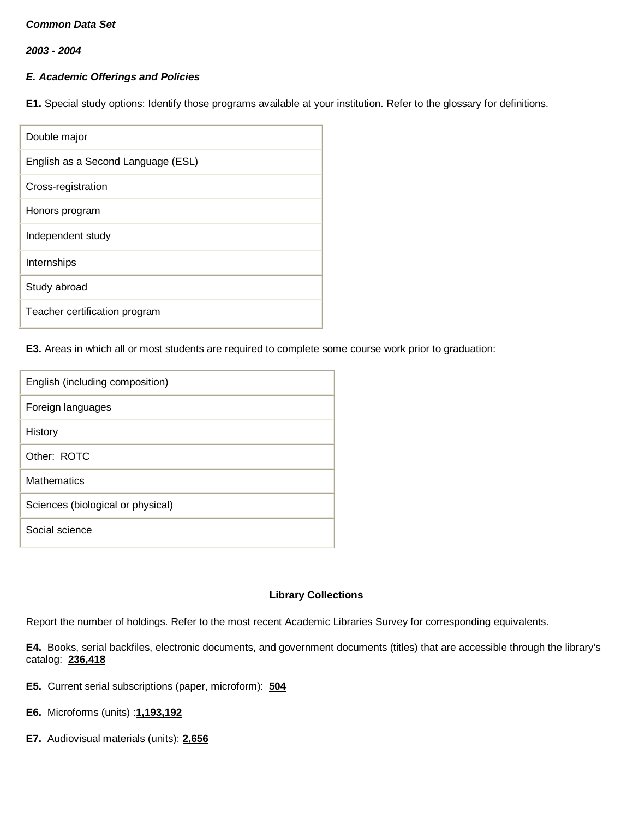*2003 - 2004*

## *E. Academic Offerings and Policies*

**E1.** Special study options: Identify those programs available at your institution. Refer to the glossary for definitions.

| Double major                       |
|------------------------------------|
| English as a Second Language (ESL) |
| Cross-registration                 |
| Honors program                     |
| Independent study                  |
| Internships                        |
| Study abroad                       |
| Teacher certification program      |

**E3.** Areas in which all or most students are required to complete some course work prior to graduation:

| English (including composition)   |
|-----------------------------------|
| Foreign languages                 |
| History                           |
| Other: ROTC                       |
| <b>Mathematics</b>                |
| Sciences (biological or physical) |
| Social science                    |
|                                   |

## **Library Collections**

Report the number of holdings. Refer to the most recent Academic Libraries Survey for corresponding equivalents.

**E4.** Books, serial backfiles, electronic documents, and government documents (titles) that are accessible through the library's catalog: **236,418**

- **E5.** Current serial subscriptions (paper, microform): **504**
- **E6.** Microforms (units) :**1,193,192**
- **E7.** Audiovisual materials (units): **2,656**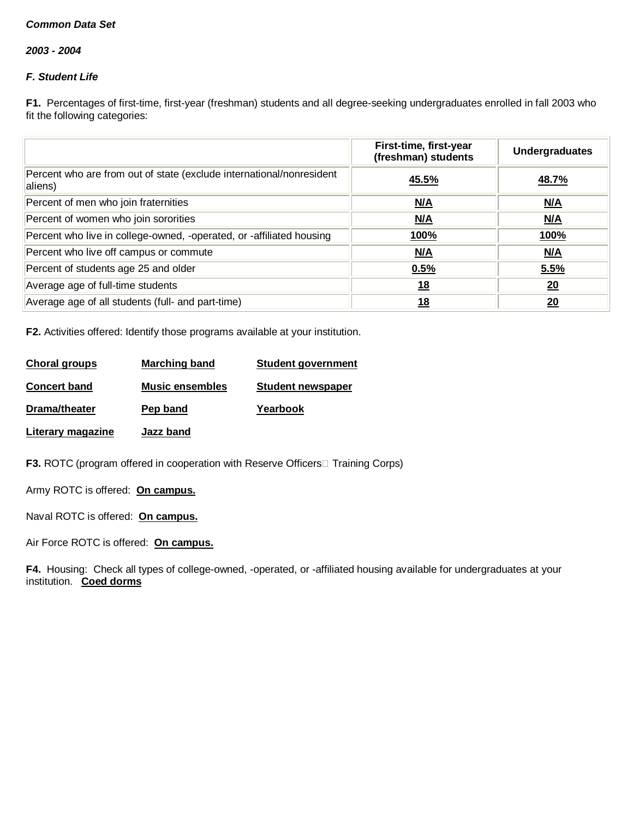*2003 - 2004*

# *F. Student Life*

**F1.** Percentages of first-time, first-year (freshman) students and all degree-seeking undergraduates enrolled in fall 2003 who fit the following categories:

|                                                                                 | First-time, first-year<br>(freshman) students | <b>Undergraduates</b> |
|---------------------------------------------------------------------------------|-----------------------------------------------|-----------------------|
| Percent who are from out of state (exclude international/nonresident<br>aliens) | 45.5%                                         | 48.7%                 |
| Percent of men who join fraternities                                            | N/A                                           | M/A                   |
| Percent of women who join sororities                                            | N/A                                           | N/A                   |
| Percent who live in college-owned, -operated, or -affiliated housing            | <u>100%</u>                                   | <u>100%</u>           |
| Percent who live off campus or commute                                          | N/A                                           | M/A                   |
| Percent of students age 25 and older                                            | 0.5%                                          | 5.5%                  |
| Average age of full-time students                                               | <u>18</u>                                     | 20                    |
| Average age of all students (full- and part-time)                               | 18                                            | 20                    |

**F2.** Activities offered: Identify those programs available at your institution.

| <b>Choral groups</b> | Marching band          | <b>Student government</b> |
|----------------------|------------------------|---------------------------|
| <b>Concert band</b>  | <b>Music ensembles</b> | <b>Student newspaper</b>  |
| Drama/theater        | Pep band               | Yearbook                  |
| Literary magazine    | Jazz band              |                           |

**F3.** ROTC (program offered in cooperation with Reserve Officers Training Corps)

Army ROTC is offered: **On campus.**

Naval ROTC is offered: **On campus.**

Air Force ROTC is offered: **On campus.**

**F4.** Housing: Check all types of college-owned, -operated, or -affiliated housing available for undergraduates at your institution. **Coed dorms**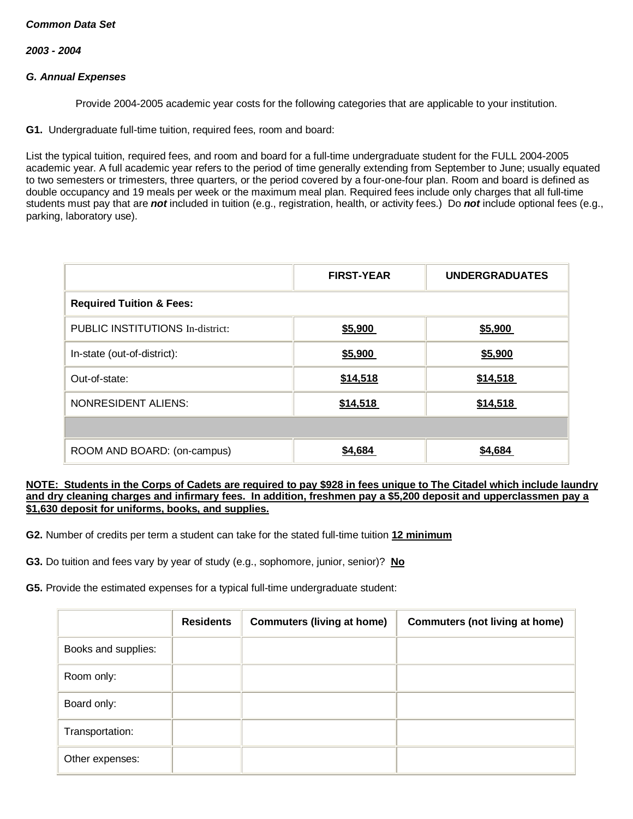#### *2003 - 2004*

### *G. Annual Expenses*

Provide 2004-2005 academic year costs for the following categories that are applicable to your institution.

**G1.** Undergraduate full-time tuition, required fees, room and board:

List the typical tuition, required fees, and room and board for a full-time undergraduate student for the FULL 2004-2005 academic year. A full academic year refers to the period of time generally extending from September to June; usually equated to two semesters or trimesters, three quarters, or the period covered by a four-one-four plan. Room and board is defined as double occupancy and 19 meals per week or the maximum meal plan. Required fees include only charges that all full-time students must pay that are *not* included in tuition (e.g., registration, health, or activity fees.) Do *not* include optional fees (e.g., parking, laboratory use).

|                                         | <b>FIRST-YEAR</b><br><b>UNDERGRADUATES</b> |          |  |  |  |
|-----------------------------------------|--------------------------------------------|----------|--|--|--|
| <b>Required Tuition &amp; Fees:</b>     |                                            |          |  |  |  |
| <b>PUBLIC INSTITUTIONS In-district:</b> | \$5,900                                    | \$5,900  |  |  |  |
| In-state (out-of-district):             | \$5,900                                    | \$5,900  |  |  |  |
| Out-of-state:                           | \$14,518                                   | \$14,518 |  |  |  |
| <b>NONRESIDENT ALIENS:</b>              | \$14,518                                   | \$14,518 |  |  |  |
|                                         |                                            |          |  |  |  |
| ROOM AND BOARD: (on-campus)             | \$4,684                                    | \$4,684  |  |  |  |

#### **NOTE: Students in the Corps of Cadets are required to pay \$928 in fees unique to The Citadel which include laundry and dry cleaning charges and infirmary fees. In addition, freshmen pay a \$5,200 deposit and upperclassmen pay a \$1,630 deposit for uniforms, books, and supplies.**

**G2.** Number of credits per term a student can take for the stated full-time tuition **12 minimum**

**G3.** Do tuition and fees vary by year of study (e.g., sophomore, junior, senior)? **No**

**G5.** Provide the estimated expenses for a typical full-time undergraduate student:

|                     | <b>Residents</b> | <b>Commuters (living at home)</b> | <b>Commuters (not living at home)</b> |
|---------------------|------------------|-----------------------------------|---------------------------------------|
| Books and supplies: |                  |                                   |                                       |
| Room only:          |                  |                                   |                                       |
| Board only:         |                  |                                   |                                       |
| Transportation:     |                  |                                   |                                       |
| Other expenses:     |                  |                                   |                                       |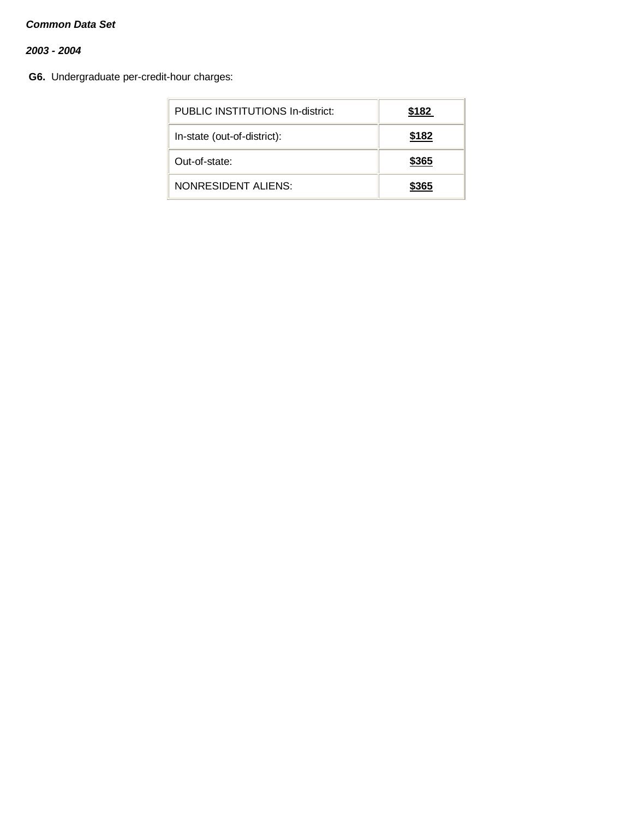# *2003 - 2004*

**G6.** Undergraduate per-credit-hour charges:

| PUBLIC INSTITUTIONS In-district: | \$182 |
|----------------------------------|-------|
| In-state (out-of-district):      | \$182 |
| Out-of-state:                    | \$365 |
| NONRESIDENT ALIENS:              | \$365 |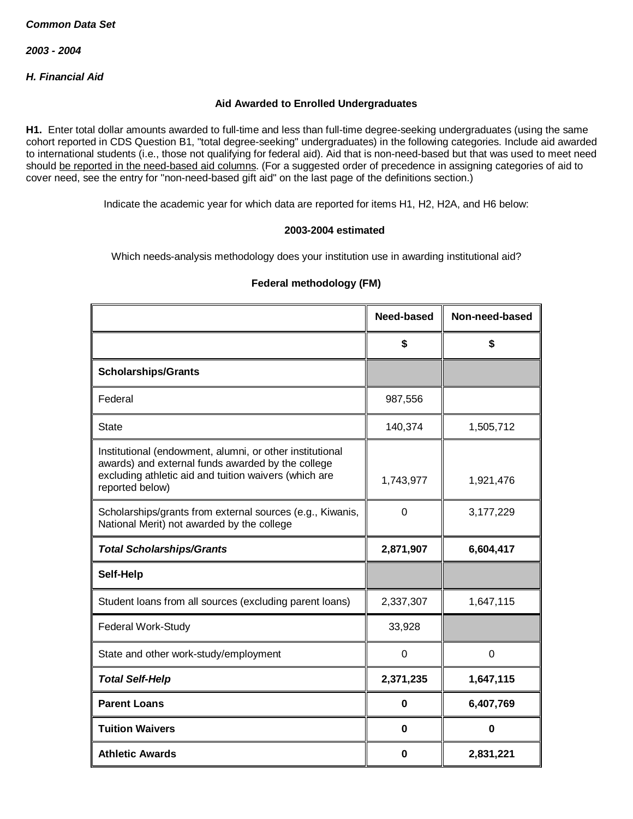*H. Financial Aid*

### **Aid Awarded to Enrolled Undergraduates**

**H1.** Enter total dollar amounts awarded to full-time and less than full-time degree-seeking undergraduates (using the same cohort reported in CDS Question B1, "total degree-seeking" undergraduates) in the following categories. Include aid awarded to international students (i.e., those not qualifying for federal aid). Aid that is non-need-based but that was used to meet need should be reported in the need-based aid columns. (For a suggested order of precedence in assigning categories of aid to cover need, see the entry for "non-need-based gift aid" on the last page of the definitions section.)

Indicate the academic year for which data are reported for items H1, H2, H2A, and H6 below:

#### **2003-2004 estimated**

Which needs-analysis methodology does your institution use in awarding institutional aid?

|                                                                                                                                                                                           | Need-based  | Non-need-based |
|-------------------------------------------------------------------------------------------------------------------------------------------------------------------------------------------|-------------|----------------|
|                                                                                                                                                                                           | \$          | \$             |
| <b>Scholarships/Grants</b>                                                                                                                                                                |             |                |
| Federal                                                                                                                                                                                   | 987,556     |                |
| <b>State</b>                                                                                                                                                                              | 140,374     | 1,505,712      |
| Institutional (endowment, alumni, or other institutional<br>awards) and external funds awarded by the college<br>excluding athletic aid and tuition waivers (which are<br>reported below) | 1,743,977   | 1,921,476      |
| Scholarships/grants from external sources (e.g., Kiwanis,<br>National Merit) not awarded by the college                                                                                   | 0           | 3,177,229      |
| <b>Total Scholarships/Grants</b>                                                                                                                                                          | 2,871,907   | 6,604,417      |
| <b>Self-Help</b>                                                                                                                                                                          |             |                |
| Student loans from all sources (excluding parent loans)                                                                                                                                   | 2,337,307   | 1,647,115      |
| Federal Work-Study                                                                                                                                                                        | 33,928      |                |
| State and other work-study/employment                                                                                                                                                     | $\mathbf 0$ | $\overline{0}$ |
| <b>Total Self-Help</b>                                                                                                                                                                    | 2,371,235   | 1,647,115      |
| <b>Parent Loans</b>                                                                                                                                                                       | 0           | 6,407,769      |
| <b>Tuition Waivers</b>                                                                                                                                                                    | 0           | $\bf{0}$       |
| <b>Athletic Awards</b>                                                                                                                                                                    | 0           | 2,831,221      |

# **Federal methodology (FM)**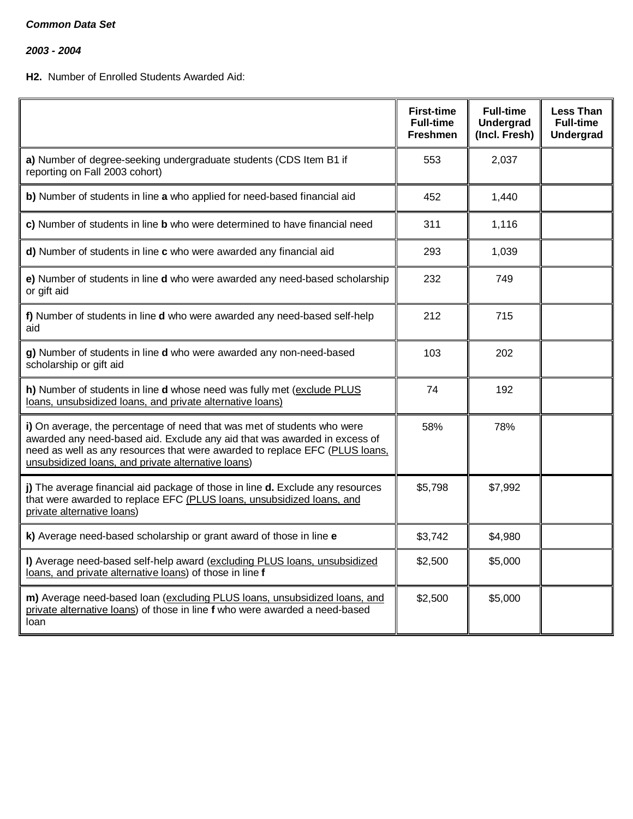*2003 - 2004*

# **H2.** Number of Enrolled Students Awarded Aid:

|                                                                                                                                                                                                                                                                                           | <b>First-time</b><br><b>Full-time</b><br><b>Freshmen</b> | <b>Full-time</b><br><b>Undergrad</b><br>(Incl. Fresh) | <b>Less Than</b><br><b>Full-time</b><br><b>Undergrad</b> |
|-------------------------------------------------------------------------------------------------------------------------------------------------------------------------------------------------------------------------------------------------------------------------------------------|----------------------------------------------------------|-------------------------------------------------------|----------------------------------------------------------|
| a) Number of degree-seeking undergraduate students (CDS Item B1 if<br>reporting on Fall 2003 cohort)                                                                                                                                                                                      | 553                                                      | 2,037                                                 |                                                          |
| b) Number of students in line a who applied for need-based financial aid                                                                                                                                                                                                                  | 452                                                      | 1,440                                                 |                                                          |
| c) Number of students in line b who were determined to have financial need                                                                                                                                                                                                                | 311                                                      | 1,116                                                 |                                                          |
| d) Number of students in line c who were awarded any financial aid                                                                                                                                                                                                                        | 293                                                      | 1,039                                                 |                                                          |
| e) Number of students in line d who were awarded any need-based scholarship<br>or gift aid                                                                                                                                                                                                | 232                                                      | 749                                                   |                                                          |
| f) Number of students in line d who were awarded any need-based self-help<br>aid                                                                                                                                                                                                          | 212                                                      | 715                                                   |                                                          |
| g) Number of students in line d who were awarded any non-need-based<br>scholarship or gift aid                                                                                                                                                                                            | 103                                                      | 202                                                   |                                                          |
| h) Number of students in line d whose need was fully met (exclude PLUS<br>loans, unsubsidized loans, and private alternative loans)                                                                                                                                                       | 74                                                       | 192                                                   |                                                          |
| i) On average, the percentage of need that was met of students who were<br>awarded any need-based aid. Exclude any aid that was awarded in excess of<br>need as well as any resources that were awarded to replace EFC (PLUS loans,<br>unsubsidized loans, and private alternative loans) | 58%                                                      | 78%                                                   |                                                          |
| j) The average financial aid package of those in line d. Exclude any resources<br>that were awarded to replace EFC (PLUS loans, unsubsidized loans, and<br>private alternative loans)                                                                                                     | \$5,798                                                  | \$7,992                                               |                                                          |
| k) Average need-based scholarship or grant award of those in line e                                                                                                                                                                                                                       | \$3,742                                                  | \$4,980                                               |                                                          |
| I) Average need-based self-help award (excluding PLUS loans, unsubsidized<br>loans, and private alternative loans) of those in line f                                                                                                                                                     | \$2,500                                                  | \$5,000                                               |                                                          |
| m) Average need-based loan (excluding PLUS loans, unsubsidized loans, and<br>private alternative loans) of those in line f who were awarded a need-based<br>loan                                                                                                                          | \$2,500                                                  | \$5,000                                               |                                                          |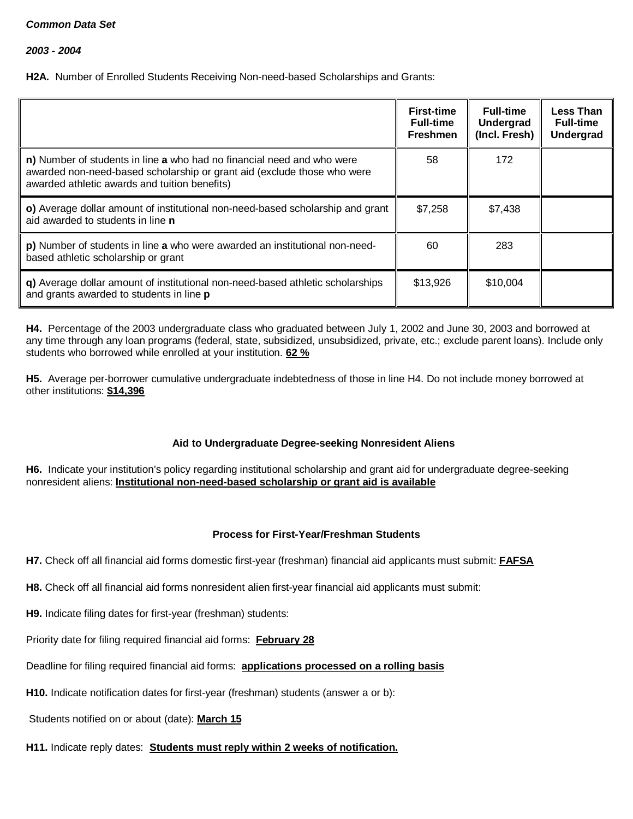*2003 - 2004*

**H2A.** Number of Enrolled Students Receiving Non-need-based Scholarships and Grants:

|                                                                                                                                                                                                    | <b>First-time</b><br><b>Full-time</b><br><b>Freshmen</b> | <b>Full-time</b><br>Undergrad<br>(Incl. Fresh) | <b>Less Than</b><br><b>Full-time</b><br><b>Undergrad</b> |
|----------------------------------------------------------------------------------------------------------------------------------------------------------------------------------------------------|----------------------------------------------------------|------------------------------------------------|----------------------------------------------------------|
| n) Number of students in line a who had no financial need and who were<br>awarded non-need-based scholarship or grant aid (exclude those who were<br>awarded athletic awards and tuition benefits) | 58                                                       | 172                                            |                                                          |
| o) Average dollar amount of institutional non-need-based scholarship and grant<br>aid awarded to students in line <b>n</b>                                                                         | \$7,258                                                  | \$7,438                                        |                                                          |
| p) Number of students in line a who were awarded an institutional non-need-<br>based athletic scholarship or grant                                                                                 | 60                                                       | 283                                            |                                                          |
| q) Average dollar amount of institutional non-need-based athletic scholarships<br>and grants awarded to students in line p                                                                         | \$13,926                                                 | \$10,004                                       |                                                          |

**H4.** Percentage of the 2003 undergraduate class who graduated between July 1, 2002 and June 30, 2003 and borrowed at any time through any loan programs (federal, state, subsidized, unsubsidized, private, etc.; exclude parent loans). Include only students who borrowed while enrolled at your institution. **62 %**

**H5.** Average per-borrower cumulative undergraduate indebtedness of those in line H4. Do not include money borrowed at other institutions: **\$14,396**

# **Aid to Undergraduate Degree-seeking Nonresident Aliens**

**H6.** Indicate your institution's policy regarding institutional scholarship and grant aid for undergraduate degree-seeking nonresident aliens: **Institutional non-need-based scholarship or grant aid is available**

# **Process for First-Year/Freshman Students**

**H7.** Check off all financial aid forms domestic first-year (freshman) financial aid applicants must submit: **FAFSA**

**H8.** Check off all financial aid forms nonresident alien first-year financial aid applicants must submit:

**H9.** Indicate filing dates for first-year (freshman) students:

Priority date for filing required financial aid forms: **February 28**

Deadline for filing required financial aid forms: **applications processed on a rolling basis**

**H10.** Indicate notification dates for first-year (freshman) students (answer a or b):

Students notified on or about (date): **March 15**

**H11.** Indicate reply dates: **Students must reply within 2 weeks of notification.**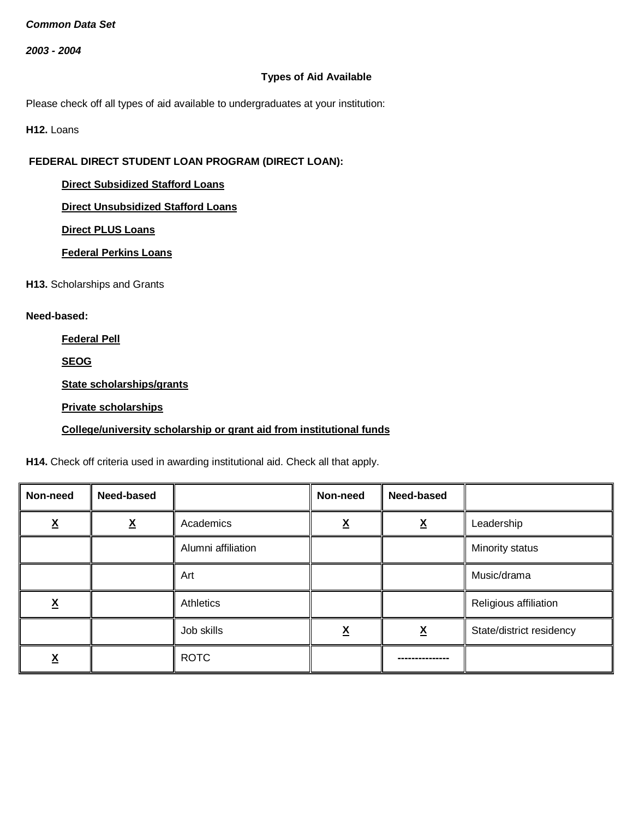*2003 - 2004*

## **Types of Aid Available**

Please check off all types of aid available to undergraduates at your institution:

**H12. Loans** 

# **FEDERAL DIRECT STUDENT LOAN PROGRAM (DIRECT LOAN):**

## **Direct Subsidized Stafford Loans**

**Direct Unsubsidized Stafford Loans**

**Direct PLUS Loans**

**Federal Perkins Loans**

**H13.** Scholarships and Grants

### **Need-based:**

**Federal Pell**

**SEOG**

**State scholarships/grants**

### **Private scholarships**

## **College/university scholarship or grant aid from institutional funds**

**H14.** Check off criteria used in awarding institutional aid. Check all that apply.

| Non-need      | Need-based |                    | Non-need          | Need-based               |                          |
|---------------|------------|--------------------|-------------------|--------------------------|--------------------------|
| v<br><u>Λ</u> | <u>х</u>   | Academics          | $\checkmark$<br>Λ |                          | Leadership               |
|               |            | Alumni affiliation |                   |                          | Minority status          |
|               |            | Art                |                   |                          | Music/drama              |
| <u>አ</u>      |            | Athletics          |                   |                          | Religious affiliation    |
|               |            | Job skills         | v<br>▵            | $\underline{\mathbf{X}}$ | State/district residency |
| Λ             |            | <b>ROTC</b>        |                   |                          |                          |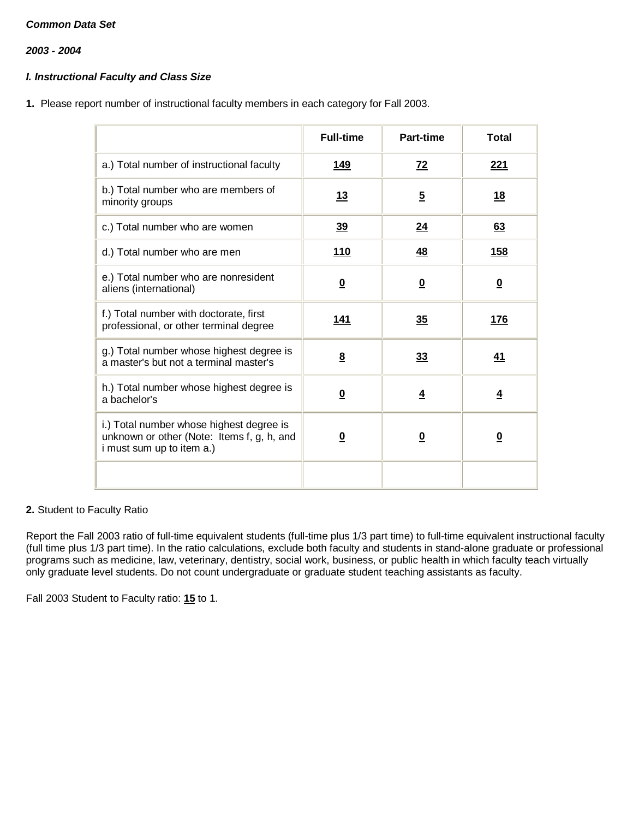*2003 - 2004*

# *I. Instructional Faculty and Class Size*

**1.** Please report number of instructional faculty members in each category for Fall 2003.

|                                                                                                                     | <b>Full-time</b>         | <b>Part-time</b>        | <b>Total</b>            |
|---------------------------------------------------------------------------------------------------------------------|--------------------------|-------------------------|-------------------------|
| a.) Total number of instructional faculty                                                                           | 149                      | 72                      | 221                     |
| b.) Total number who are members of<br>minority groups                                                              | <u> 13</u>               | $\overline{5}$          | <u>18</u>               |
| c.) Total number who are women                                                                                      | <u>39</u>                | 24                      | <u>63</u>               |
| d.) Total number who are men                                                                                        | <u>110</u>               | <u>48</u>               | <u>158</u>              |
| e.) Total number who are nonresident<br>aliens (international)                                                      | $\underline{\mathbf{0}}$ | $\overline{\mathbf{0}}$ | $\overline{\mathbf{0}}$ |
| f.) Total number with doctorate, first<br>professional, or other terminal degree                                    | 141                      | 35                      | 176                     |
| g.) Total number whose highest degree is<br>a master's but not a terminal master's                                  | 8                        | 33                      | <u>41</u>               |
| h.) Total number whose highest degree is<br>a bachelor's                                                            | $\overline{\mathbf{0}}$  | $\overline{4}$          | $\overline{4}$          |
| i.) Total number whose highest degree is<br>unknown or other (Note: Items f, g, h, and<br>i must sum up to item a.) | $\overline{\mathbf{0}}$  | $\overline{\mathbf{0}}$ | $\overline{\mathbf{0}}$ |
|                                                                                                                     |                          |                         |                         |

## **2.** Student to Faculty Ratio

Report the Fall 2003 ratio of full-time equivalent students (full-time plus 1/3 part time) to full-time equivalent instructional faculty (full time plus 1/3 part time). In the ratio calculations, exclude both faculty and students in stand-alone graduate or professional programs such as medicine, law, veterinary, dentistry, social work, business, or public health in which faculty teach virtually only graduate level students. Do not count undergraduate or graduate student teaching assistants as faculty.

Fall 2003 Student to Faculty ratio: **15** to 1.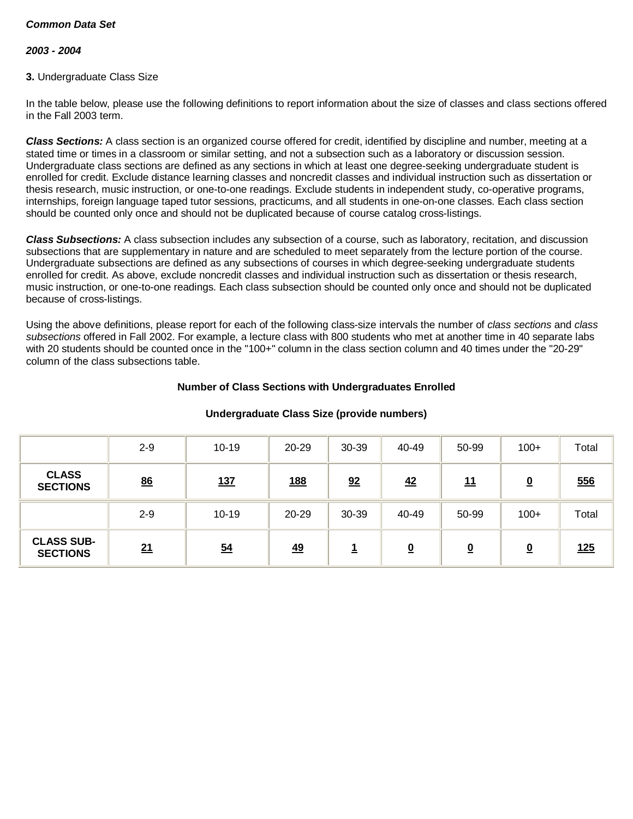### *2003 - 2004*

### **3.** Undergraduate Class Size

In the table below, please use the following definitions to report information about the size of classes and class sections offered in the Fall 2003 term.

*Class Sections:* A class section is an organized course offered for credit, identified by discipline and number, meeting at a stated time or times in a classroom or similar setting, and not a subsection such as a laboratory or discussion session. Undergraduate class sections are defined as any sections in which at least one degree-seeking undergraduate student is enrolled for credit. Exclude distance learning classes and noncredit classes and individual instruction such as dissertation or thesis research, music instruction, or one-to-one readings. Exclude students in independent study, co-operative programs, internships, foreign language taped tutor sessions, practicums, and all students in one-on-one classes. Each class section should be counted only once and should not be duplicated because of course catalog cross-listings.

*Class Subsections:* A class subsection includes any subsection of a course, such as laboratory, recitation, and discussion subsections that are supplementary in nature and are scheduled to meet separately from the lecture portion of the course. Undergraduate subsections are defined as any subsections of courses in which degree-seeking undergraduate students enrolled for credit. As above, exclude noncredit classes and individual instruction such as dissertation or thesis research, music instruction, or one-to-one readings. Each class subsection should be counted only once and should not be duplicated because of cross-listings.

Using the above definitions, please report for each of the following class-size intervals the number of *class sections* and *class subsections* offered in Fall 2002. For example, a lecture class with 800 students who met at another time in 40 separate labs with 20 students should be counted once in the "100+" column in the class section column and 40 times under the "20-29" column of the class subsections table.

### **Number of Class Sections with Undergraduates Enrolled**

|                                      | $2 - 9$ | $10 - 19$        | 20-29      | 30-39 | 40-49                   | 50-99    | $100+$                   | Total |
|--------------------------------------|---------|------------------|------------|-------|-------------------------|----------|--------------------------|-------|
| <b>CLASS</b><br><b>SECTIONS</b>      | 86      | <u>137</u>       | <u>188</u> | 92    | 42                      | 11       | $\underline{\mathbf{0}}$ | 556   |
|                                      | $2 - 9$ | $10 - 19$        | 20-29      | 30-39 | 40-49                   | 50-99    | $100+$                   | Total |
| <b>CLASS SUB-</b><br><b>SECTIONS</b> | 21      | $\underline{54}$ | <u>49</u>  | سد    | $\overline{\mathbf{0}}$ | <u>0</u> | $\underline{\mathbf{0}}$ | 125   |

### **Undergraduate Class Size (provide numbers)**